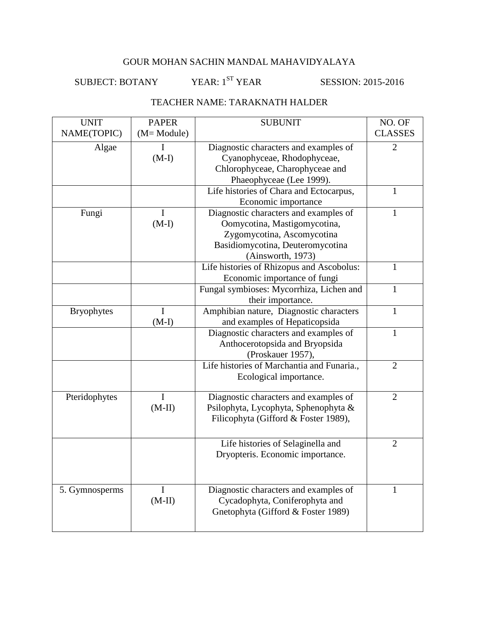SUBJECT: BOTANY YEAR: 1<sup>ST</sup> YEAR SESSION: 2015-2016

## TEACHER NAME: TARAKNATH HALDER

| <b>UNIT</b>       | <b>PAPER</b> | <b>SUBUNIT</b>                             | NO. OF         |
|-------------------|--------------|--------------------------------------------|----------------|
| NAME(TOPIC)       | (M= Module)  |                                            | <b>CLASSES</b> |
| Algae             | I            | Diagnostic characters and examples of      | $\overline{2}$ |
|                   | $(M-I)$      | Cyanophyceae, Rhodophyceae,                |                |
|                   |              | Chlorophyceae, Charophyceae and            |                |
|                   |              | Phaeophyceae (Lee 1999).                   |                |
|                   |              | Life histories of Chara and Ectocarpus,    | 1              |
|                   |              | Economic importance                        |                |
| Fungi             | I            | Diagnostic characters and examples of      | 1              |
|                   | $(M-I)$      | Oomycotina, Mastigomycotina,               |                |
|                   |              | Zygomycotina, Ascomycotina                 |                |
|                   |              | Basidiomycotina, Deuteromycotina           |                |
|                   |              | (Ainsworth, 1973)                          |                |
|                   |              | Life histories of Rhizopus and Ascobolus:  | 1              |
|                   |              | Economic importance of fungi               |                |
|                   |              | Fungal symbioses: Mycorrhiza, Lichen and   | 1              |
|                   |              | their importance.                          |                |
| <b>Bryophytes</b> | I            | Amphibian nature, Diagnostic characters    | 1              |
|                   | $(M-I)$      | and examples of Hepaticopsida              |                |
|                   |              | Diagnostic characters and examples of      | 1              |
|                   |              | Anthocerotopsida and Bryopsida             |                |
|                   |              | (Proskauer 1957),                          |                |
|                   |              | Life histories of Marchantia and Funaria., | $\overline{2}$ |
|                   |              | Ecological importance.                     |                |
|                   |              |                                            |                |
| Pteridophytes     | I            | Diagnostic characters and examples of      | $\overline{2}$ |
|                   | $(M-II)$     | Psilophyta, Lycophyta, Sphenophyta &       |                |
|                   |              | Filicophyta (Gifford & Foster 1989),       |                |
|                   |              |                                            |                |
|                   |              | Life histories of Selaginella and          | $\overline{2}$ |
|                   |              | Dryopteris. Economic importance.           |                |
|                   |              |                                            |                |
|                   |              |                                            |                |
| 5. Gymnosperms    | I            | Diagnostic characters and examples of      | 1              |
|                   | $(M-II)$     | Cycadophyta, Coniferophyta and             |                |
|                   |              | Gnetophyta (Gifford & Foster 1989)         |                |
|                   |              |                                            |                |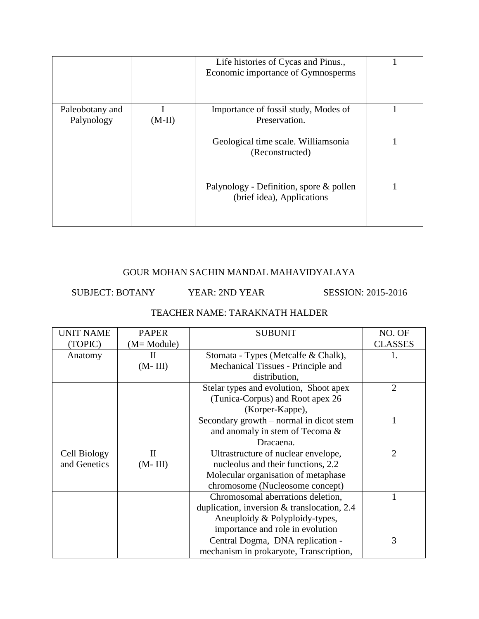|                 |          | Life histories of Cycas and Pinus.,<br>Economic importance of Gymnosperms |  |
|-----------------|----------|---------------------------------------------------------------------------|--|
| Paleobotany and |          | Importance of fossil study, Modes of                                      |  |
| Palynology      | $(M-II)$ | Preservation.                                                             |  |
|                 |          | Geological time scale. Williamsonia                                       |  |
|                 |          | (Reconstructed)                                                           |  |
|                 |          | Palynology - Definition, spore & pollen<br>(brief idea), Applications     |  |
|                 |          |                                                                           |  |

SUBJECT: BOTANY YEAR: 2ND YEAR SESSION: 2015-2016

## TEACHER NAME: TARAKNATH HALDER

| <b>UNIT NAME</b> | <b>PAPER</b> | <b>SUBUNIT</b>                              | NO. OF         |
|------------------|--------------|---------------------------------------------|----------------|
| (TOPIC)          | (M= Module)  |                                             | <b>CLASSES</b> |
| Anatomy          | H            | Stomata - Types (Metcalfe & Chalk),         | 1.             |
|                  | $(M-III)$    | Mechanical Tissues - Principle and          |                |
|                  |              | distribution,                               |                |
|                  |              | Stelar types and evolution, Shoot apex      | 2              |
|                  |              | (Tunica-Corpus) and Root apex 26            |                |
|                  |              | (Korper-Kappe),                             |                |
|                  |              | Secondary growth – normal in dicot stem     |                |
|                  |              | and anomaly in stem of Tecoma &             |                |
|                  |              | Dracaena.                                   |                |
| Cell Biology     | $\mathbf{I}$ | Ultrastructure of nuclear envelope,         | 2              |
| and Genetics     | $(M-III)$    | nucleolus and their functions, 2.2          |                |
|                  |              | Molecular organisation of metaphase         |                |
|                  |              | chromosome (Nucleosome concept)             |                |
|                  |              | Chromosomal aberrations deletion,           |                |
|                  |              | duplication, inversion & translocation, 2.4 |                |
|                  |              | Aneuploidy & Polyploidy-types,              |                |
|                  |              | importance and role in evolution            |                |
|                  |              | Central Dogma, DNA replication -            | 3              |
|                  |              | mechanism in prokaryote, Transcription,     |                |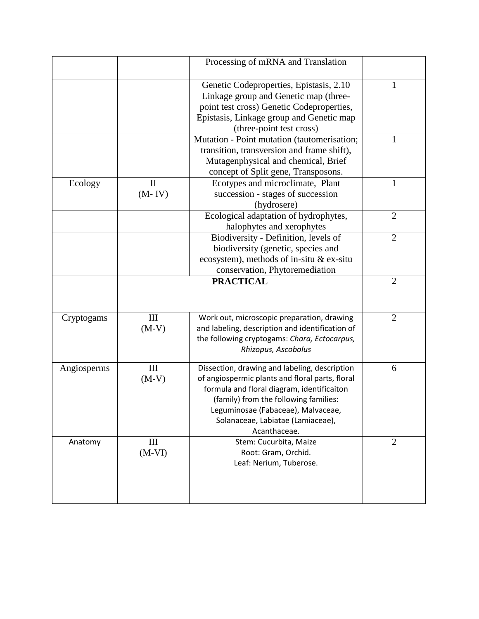|             |                            | Processing of mRNA and Translation                                                                                                                                                                                                                                                 |                |
|-------------|----------------------------|------------------------------------------------------------------------------------------------------------------------------------------------------------------------------------------------------------------------------------------------------------------------------------|----------------|
|             |                            | Genetic Codeproperties, Epistasis, 2.10<br>Linkage group and Genetic map (three-<br>point test cross) Genetic Codeproperties,<br>Epistasis, Linkage group and Genetic map<br>(three-point test cross)                                                                              | 1              |
|             |                            | Mutation - Point mutation (tautomerisation;<br>transition, transversion and frame shift),<br>Mutagenphysical and chemical, Brief<br>concept of Split gene, Transposons.                                                                                                            |                |
| Ecology     | $\mathbf{I}$<br>$(M - IV)$ | Ecotypes and microclimate, Plant<br>succession - stages of succession<br>(hydrosere)                                                                                                                                                                                               | $\mathbf{1}$   |
|             |                            | Ecological adaptation of hydrophytes,<br>halophytes and xerophytes                                                                                                                                                                                                                 | $\overline{2}$ |
|             |                            | Biodiversity - Definition, levels of<br>biodiversity (genetic, species and<br>ecosystem), methods of in-situ & ex-situ<br>conservation, Phytoremediation                                                                                                                           | $\overline{2}$ |
|             |                            | <b>PRACTICAL</b>                                                                                                                                                                                                                                                                   | $\overline{2}$ |
| Cryptogams  | III<br>$(M-V)$             | Work out, microscopic preparation, drawing<br>and labeling, description and identification of<br>the following cryptogams: Chara, Ectocarpus,<br>Rhizopus, Ascobolus                                                                                                               | $\overline{2}$ |
| Angiosperms | III<br>$(M-V)$             | Dissection, drawing and labeling, description<br>of angiospermic plants and floral parts, floral<br>formula and floral diagram, identificaiton<br>(family) from the following families:<br>Leguminosae (Fabaceae), Malvaceae,<br>Solanaceae, Labiatae (Lamiaceae),<br>Acanthaceae. | 6              |
| Anatomy     | III<br>$(M-VI)$            | Stem: Cucurbita, Maize<br>Root: Gram, Orchid.<br>Leaf: Nerium, Tuberose.                                                                                                                                                                                                           | $\overline{2}$ |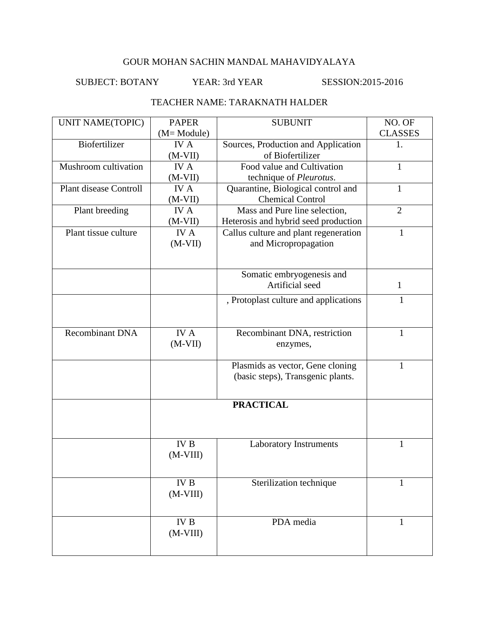#### SUBJECT: BOTANY YEAR: 3rd YEAR SESSION:2015-2016

#### TEACHER NAME: TARAKNATH HALDER

| <b>UNIT NAME(TOPIC)</b>       | <b>PAPER</b> | <b>SUBUNIT</b>                        | NO. OF         |
|-------------------------------|--------------|---------------------------------------|----------------|
|                               | $(M=Module)$ |                                       | <b>CLASSES</b> |
| Biofertilizer                 | <b>IVA</b>   | Sources, Production and Application   | 1.             |
|                               | $(M-VII)$    | of Biofertilizer                      |                |
| Mushroom cultivation          | IV A         | Food value and Cultivation            | $\mathbf{1}$   |
|                               | $(M-VII)$    | technique of Pleurotus.               |                |
| <b>Plant disease Controll</b> | <b>IVA</b>   | Quarantine, Biological control and    |                |
|                               | $(M-VII)$    | <b>Chemical Control</b>               |                |
| Plant breeding                | <b>IVA</b>   | Mass and Pure line selection,         | $\overline{2}$ |
|                               | $(M-VII)$    | Heterosis and hybrid seed production  |                |
| Plant tissue culture          | <b>IVA</b>   | Callus culture and plant regeneration | $\mathbf{1}$   |
|                               | $(M-VII)$    | and Micropropagation                  |                |
|                               |              |                                       |                |
|                               |              |                                       |                |
|                               |              | Somatic embryogenesis and             |                |
|                               |              | Artificial seed                       | $\mathbf{1}$   |
|                               |              | , Protoplast culture and applications | 1              |
|                               |              |                                       |                |
|                               |              |                                       |                |
| <b>Recombinant DNA</b>        | <b>IVA</b>   | Recombinant DNA, restriction          | $\mathbf{1}$   |
|                               | $(M-VII)$    | enzymes,                              |                |
|                               |              |                                       |                |
|                               |              | Plasmids as vector, Gene cloning      | 1              |
|                               |              | (basic steps), Transgenic plants.     |                |
|                               |              |                                       |                |
|                               |              |                                       |                |
|                               |              | <b>PRACTICAL</b>                      |                |
|                               |              |                                       |                |
|                               |              |                                       |                |
|                               | $\rm IV~B$   | Laboratory Instruments                | $\mathbf{1}$   |
|                               | $(M-VIII)$   |                                       |                |
|                               |              |                                       |                |
|                               |              |                                       |                |
|                               | $\rm IV~B$   | Sterilization technique               |                |
|                               | $(M-VIII)$   |                                       |                |
|                               |              |                                       |                |
|                               | IV B         | PDA media                             |                |
|                               | $(M-VIII)$   |                                       | 1              |
|                               |              |                                       |                |
|                               |              |                                       |                |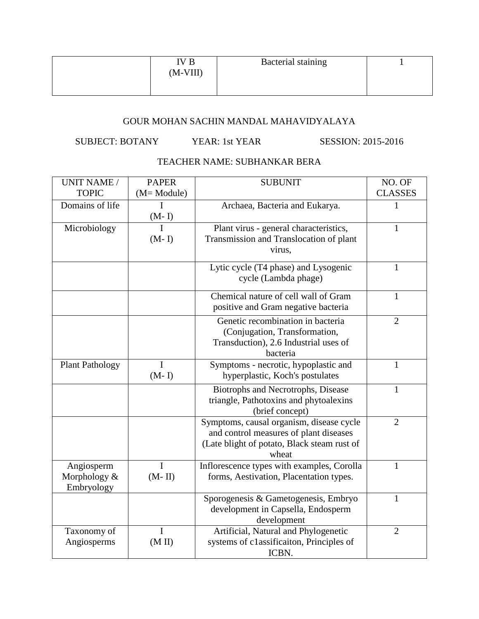| IV B       | <b>Bacterial staining</b> |  |
|------------|---------------------------|--|
| $(M-VIII)$ |                           |  |
|            |                           |  |

## SUBJECT: BOTANY YEAR: 1st YEAR SESSION: 2015-2016

# TEACHER NAME: SUBHANKAR BERA

| <b>UNIT NAME /</b>     | <b>PAPER</b> | <b>SUBUNIT</b>                                                                        | NO. OF         |
|------------------------|--------------|---------------------------------------------------------------------------------------|----------------|
| <b>TOPIC</b>           | (M= Module)  |                                                                                       | <b>CLASSES</b> |
| Domains of life        | 1            | Archaea, Bacteria and Eukarya.                                                        | 1              |
|                        | $(M-I)$      |                                                                                       |                |
| Microbiology           | I            | Plant virus - general characteristics,                                                | 1              |
|                        | $(M-I)$      | Transmission and Translocation of plant                                               |                |
|                        |              | virus,                                                                                |                |
|                        |              | Lytic cycle (T4 phase) and Lysogenic                                                  | 1              |
|                        |              | cycle (Lambda phage)                                                                  |                |
|                        |              | Chemical nature of cell wall of Gram                                                  | $\mathbf{1}$   |
|                        |              | positive and Gram negative bacteria                                                   |                |
|                        |              | Genetic recombination in bacteria                                                     | $\overline{2}$ |
|                        |              | (Conjugation, Transformation,                                                         |                |
|                        |              | Transduction), 2.6 Industrial uses of                                                 |                |
|                        |              | bacteria                                                                              |                |
| <b>Plant Pathology</b> | I            | Symptoms - necrotic, hypoplastic and                                                  | 1              |
|                        | $(M-I)$      | hyperplastic, Koch's postulates                                                       |                |
|                        |              | Biotrophs and Necrotrophs, Disease                                                    | $\mathbf{1}$   |
|                        |              | triangle, Pathotoxins and phytoalexins                                                |                |
|                        |              | (brief concept)                                                                       |                |
|                        |              | Symptoms, causal organism, disease cycle                                              | $\overline{2}$ |
|                        |              | and control measures of plant diseases<br>(Late blight of potato, Black steam rust of |                |
|                        |              | wheat                                                                                 |                |
| Angiosperm             | I            | Inflorescence types with examples, Corolla                                            | 1              |
| Morphology &           | $(M-II)$     | forms, Aestivation, Placentation types.                                               |                |
| Embryology             |              |                                                                                       |                |
|                        |              | Sporogenesis & Gametogenesis, Embryo                                                  | 1              |
|                        |              | development in Capsella, Endosperm                                                    |                |
|                        |              | development                                                                           |                |
| Taxonomy of            | I            | Artificial, Natural and Phylogenetic                                                  | $\overline{2}$ |
| Angiosperms            | (M II)       | systems of classificaiton, Principles of                                              |                |
|                        |              | ICBN.                                                                                 |                |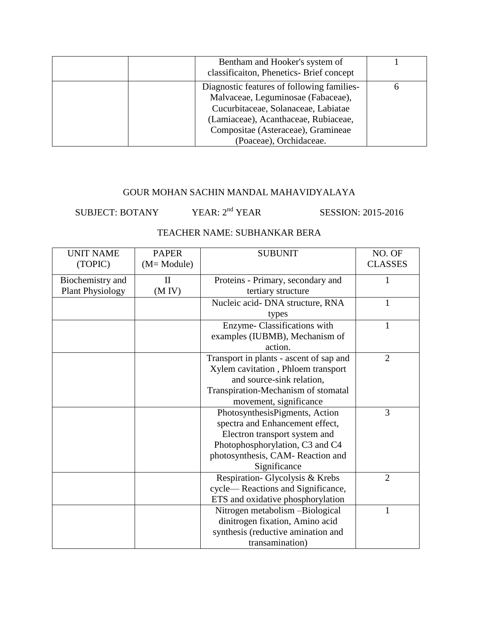| Bentham and Hooker's system of<br>classificaiton, Phenetics- Brief concept                                                                                                                                                       |  |
|----------------------------------------------------------------------------------------------------------------------------------------------------------------------------------------------------------------------------------|--|
| Diagnostic features of following families-<br>Malvaceae, Leguminosae (Fabaceae),<br>Cucurbitaceae, Solanaceae, Labiatae<br>(Lamiaceae), Acanthaceae, Rubiaceae,<br>Compositae (Asteraceae), Gramineae<br>(Poaceae), Orchidaceae. |  |

SUBJECT: BOTANY YEAR:  $2<sup>nd</sup>$  YEAR SESSION: 2015-2016

#### TEACHER NAME: SUBHANKAR BERA

| <b>UNIT NAME</b>        | <b>PAPER</b> | <b>SUBUNIT</b>                          | NO. OF         |
|-------------------------|--------------|-----------------------------------------|----------------|
| (TOPIC)                 | (M= Module)  |                                         | <b>CLASSES</b> |
| Biochemistry and        | $\rm II$     | Proteins - Primary, secondary and       |                |
| <b>Plant Physiology</b> | (M IV)       | tertiary structure                      |                |
|                         |              | Nucleic acid- DNA structure, RNA        |                |
|                         |              | types                                   |                |
|                         |              | Enzyme-Classifications with             | 1              |
|                         |              | examples (IUBMB), Mechanism of          |                |
|                         |              | action.                                 |                |
|                         |              | Transport in plants - ascent of sap and | $\overline{2}$ |
|                         |              | Xylem cavitation, Phloem transport      |                |
|                         |              | and source-sink relation,               |                |
|                         |              | Transpiration-Mechanism of stomatal     |                |
|                         |              | movement, significance                  |                |
|                         |              | PhotosynthesisPigments, Action          | 3              |
|                         |              | spectra and Enhancement effect,         |                |
|                         |              | Electron transport system and           |                |
|                         |              | Photophosphorylation, C3 and C4         |                |
|                         |              | photosynthesis, CAM-Reaction and        |                |
|                         |              | Significance                            |                |
|                         |              | Respiration- Glycolysis & Krebs         | $\overline{2}$ |
|                         |              | cycle—Reactions and Significance,       |                |
|                         |              | ETS and oxidative phosphorylation       |                |
|                         |              | Nitrogen metabolism -Biological         | 1              |
|                         |              | dinitrogen fixation, Amino acid         |                |
|                         |              | synthesis (reductive amination and      |                |
|                         |              | transamination)                         |                |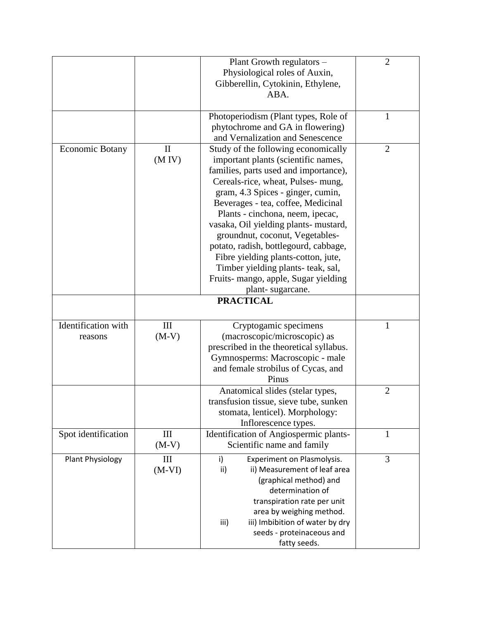|                        |              | Plant Growth regulators -               | $\overline{2}$ |
|------------------------|--------------|-----------------------------------------|----------------|
|                        |              | Physiological roles of Auxin,           |                |
|                        |              | Gibberellin, Cytokinin, Ethylene,       |                |
|                        |              | ABA.                                    |                |
|                        |              |                                         |                |
|                        |              | Photoperiodism (Plant types, Role of    | $\mathbf{1}$   |
|                        |              | phytochrome and GA in flowering)        |                |
|                        |              | and Vernalization and Senescence        |                |
|                        |              |                                         |                |
| <b>Economic Botany</b> | $\mathbf{I}$ | Study of the following economically     | $\overline{2}$ |
|                        | (M IV)       | important plants (scientific names,     |                |
|                        |              | families, parts used and importance),   |                |
|                        |              | Cereals-rice, wheat, Pulses- mung,      |                |
|                        |              | gram, 4.3 Spices - ginger, cumin,       |                |
|                        |              | Beverages - tea, coffee, Medicinal      |                |
|                        |              | Plants - cinchona, neem, ipecac,        |                |
|                        |              | vasaka, Oil yielding plants- mustard,   |                |
|                        |              | groundnut, coconut, Vegetables-         |                |
|                        |              | potato, radish, bottlegourd, cabbage,   |                |
|                        |              | Fibre yielding plants-cotton, jute,     |                |
|                        |              | Timber yielding plants- teak, sal,      |                |
|                        |              | Fruits- mango, apple, Sugar yielding    |                |
|                        |              | plant-sugarcane.                        |                |
|                        |              | <b>PRACTICAL</b>                        |                |
|                        |              |                                         |                |
| Identification with    | III          | Cryptogamic specimens                   | $\mathbf{1}$   |
| reasons                | $(M-V)$      | (macroscopic/microscopic) as            |                |
|                        |              | prescribed in the theoretical syllabus. |                |
|                        |              | Gymnosperms: Macroscopic - male         |                |
|                        |              | and female strobilus of Cycas, and      |                |
|                        |              | Pinus                                   |                |
|                        |              | Anatomical slides (stelar types,        | $\overline{2}$ |
|                        |              | transfusion tissue, sieve tube, sunken  |                |
|                        |              | stomata, lenticel). Morphology:         |                |
|                        |              | Inflorescence types.                    |                |
| Spot identification    | III          | Identification of Angiospermic plants-  | 1              |
|                        | $(M-V)$      | Scientific name and family              |                |
| Plant Physiology       | III          | Experiment on Plasmolysis.<br>i)        | 3              |
|                        | $(M-VI)$     | ii) Measurement of leaf area<br>ii)     |                |
|                        |              | (graphical method) and                  |                |
|                        |              | determination of                        |                |
|                        |              | transpiration rate per unit             |                |
|                        |              | area by weighing method.                |                |
|                        |              | iii)<br>iii) Imbibition of water by dry |                |
|                        |              | seeds - proteinaceous and               |                |
|                        |              | fatty seeds.                            |                |